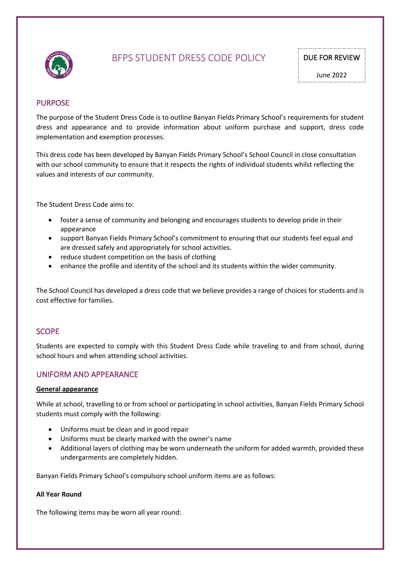

# BFPS STUDENT DRESS CODE POLICY DUE FOR REVIEW

June 2022

# PURPOSE

The purpose of the Student Dress Code is to outline Banyan Fields Primary School's requirements for student dress and appearance and to provide information about uniform purchase and support, dress code implementation and exemption processes.

This dress code has been developed by Banyan Fields Primary School's School Council in close consultation with our school community to ensure that it respects the rights of individual students whilst reflecting the values and interests of our community.

The Student Dress Code aims to:

- foster a sense of community and belonging and encourages students to develop pride in their appearance
- support Banyan Fields Primary School's commitment to ensuring that our students feel equal and are dressed safely and appropriately for school activities.
- reduce student competition on the basis of clothing
- enhance the profile and identity of the school and its students within the wider community.

The School Council has developed a dress code that we believe provides a range of choices for students and is cost effective for families.

### **SCOPE**

Students are expected to comply with this Student Dress Code while traveling to and from school, during school hours and when attending school activities.

# UNIFORM AND APPEARANCE

#### **General appearance**

While at school, travelling to or from school or participating in school activities, Banyan Fields Primary School students must comply with the following:

- Uniforms must be clean and in good repair
- Uniforms must be clearly marked with the owner's name
- Additional layers of clothing may be worn underneath the uniform for added warmth, provided these undergarments are completely hidden.

Banyan Fields Primary School's compulsory school uniform items are as follows:

#### **All Year Round**

The following items may be worn all year round: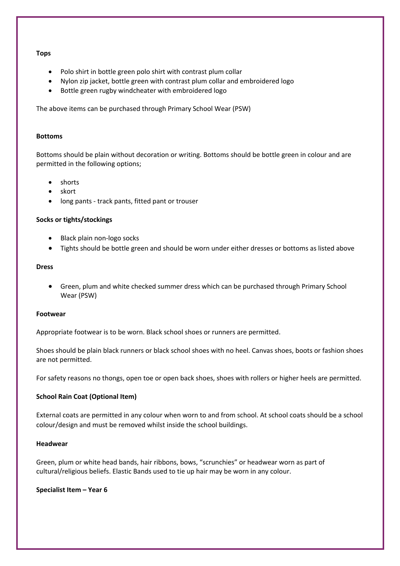#### **Tops**

- Polo shirt in bottle green polo shirt with contrast plum collar
- Nylon zip jacket, bottle green with contrast plum collar and embroidered logo
- Bottle green rugby windcheater with embroidered logo

The above items can be purchased through Primary School Wear (PSW)

#### **Bottoms**

Bottoms should be plain without decoration or writing. Bottoms should be bottle green in colour and are permitted in the following options;

- shorts
- skort
- long pants track pants, fitted pant or trouser

#### **Socks or tights/stockings**

- Black plain non-logo socks
- Tights should be bottle green and should be worn under either dresses or bottoms as listed above

#### **Dress**

• Green, plum and white checked summer dress which can be purchased through Primary School Wear (PSW)

#### **Footwear**

Appropriate footwear is to be worn. Black school shoes or runners are permitted.

Shoes should be plain black runners or black school shoes with no heel. Canvas shoes, boots or fashion shoes are not permitted.

For safety reasons no thongs, open toe or open back shoes, shoes with rollers or higher heels are permitted.

#### **School Rain Coat (Optional Item)**

External coats are permitted in any colour when worn to and from school. At school coats should be a school colour/design and must be removed whilst inside the school buildings.

#### **Headwear**

Green, plum or white head bands, hair ribbons, bows, "scrunchies" or headwear worn as part of cultural/religious beliefs. Elastic Bands used to tie up hair may be worn in any colour.

**Specialist Item – Year 6**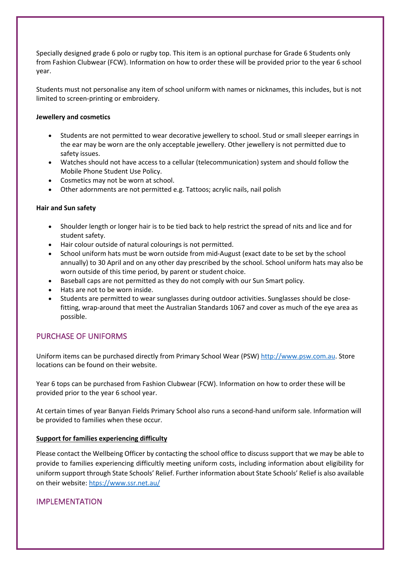Specially designed grade 6 polo or rugby top. This item is an optional purchase for Grade 6 Students only from Fashion Clubwear (FCW). Information on how to order these will be provided prior to the year 6 school year.

Students must not personalise any item of school uniform with names or nicknames, this includes, but is not limited to screen-printing or embroidery.

### **Jewellery and cosmetics**

- Students are not permitted to wear decorative jewellery to school. Stud or small sleeper earrings in the ear may be worn are the only acceptable jewellery. Other jewellery is not permitted due to safety issues.
- Watches should not have access to a cellular (telecommunication) system and should follow the Mobile Phone Student Use Policy.
- Cosmetics may not be worn at school.
- Other adornments are not permitted e.g. Tattoos; acrylic nails, nail polish

### **Hair and Sun safety**

- Shoulder length or longer hair is to be tied back to help restrict the spread of nits and lice and for student safety.
- Hair colour outside of natural colourings is not permitted.
- School uniform hats must be worn outside from mid-August (exact date to be set by the school annually) to 30 April and on any other day prescribed by the school. School uniform hats may also be worn outside of this time period, by parent or student choice.
- Baseball caps are not permitted as they do not comply with our Sun Smart policy.
- Hats are not to be worn inside.
- Students are permitted to wear sunglasses during outdoor activities. Sunglasses should be closefitting, wrap-around that meet the Australian Standards 1067 and cover as much of the eye area as possible.

# PURCHASE OF UNIFORMS

Uniform items can be purchased directly from Primary School Wear (PSW) http://www.psw.com.au. Store locations can be found on their website.

Year 6 tops can be purchased from Fashion Clubwear (FCW). Information on how to order these will be provided prior to the year 6 school year.

At certain times of year Banyan Fields Primary School also runs a second-hand uniform sale. Information will be provided to families when these occur.

### **Support for families experiencing difficulty**

Please contact the Wellbeing Officer by contacting the school office to discuss support that we may be able to provide to families experiencing difficultly meeting uniform costs, including information about eligibility for uniform support through State Schools' Relief. Further information about State Schools' Relief is also available on their website: htps://www.ssr.net.au/

# IMPLEMENTATION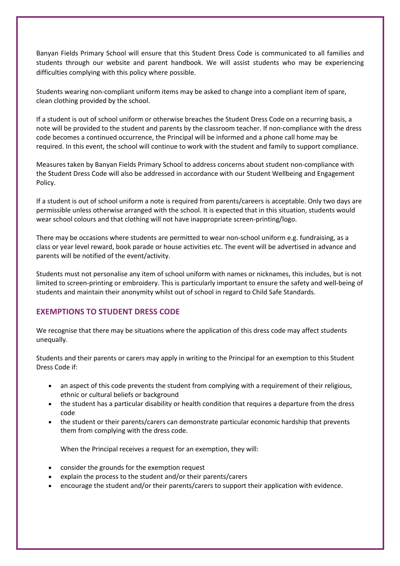Banyan Fields Primary School will ensure that this Student Dress Code is communicated to all families and students through our website and parent handbook. We will assist students who may be experiencing difficulties complying with this policy where possible.

Students wearing non-compliant uniform items may be asked to change into a compliant item of spare, clean clothing provided by the school.

If a student is out of school uniform or otherwise breaches the Student Dress Code on a recurring basis, a note will be provided to the student and parents by the classroom teacher. If non-compliance with the dress code becomes a continued occurrence, the Principal will be informed and a phone call home may be required. In this event, the school will continue to work with the student and family to support compliance.

Measures taken by Banyan Fields Primary School to address concerns about student non-compliance with the Student Dress Code will also be addressed in accordance with our Student Wellbeing and Engagement Policy.

If a student is out of school uniform a note is required from parents/careers is acceptable. Only two days are permissible unless otherwise arranged with the school. It is expected that in this situation, students would wear school colours and that clothing will not have inappropriate screen-printing/logo.

There may be occasions where students are permitted to wear non-school uniform e.g. fundraising, as a class or year level reward, book parade or house activities etc. The event will be advertised in advance and parents will be notified of the event/activity.

Students must not personalise any item of school uniform with names or nicknames, this includes, but is not limited to screen-printing or embroidery. This is particularly important to ensure the safety and well-being of students and maintain their anonymity whilst out of school in regard to Child Safe Standards.

### **EXEMPTIONS TO STUDENT DRESS CODE**

We recognise that there may be situations where the application of this dress code may affect students unequally.

Students and their parents or carers may apply in writing to the Principal for an exemption to this Student Dress Code if:

- an aspect of this code prevents the student from complying with a requirement of their religious, ethnic or cultural beliefs or background
- the student has a particular disability or health condition that requires a departure from the dress code
- the student or their parents/carers can demonstrate particular economic hardship that prevents them from complying with the dress code.

When the Principal receives a request for an exemption, they will:

- consider the grounds for the exemption request
- explain the process to the student and/or their parents/carers
- encourage the student and/or their parents/carers to support their application with evidence.